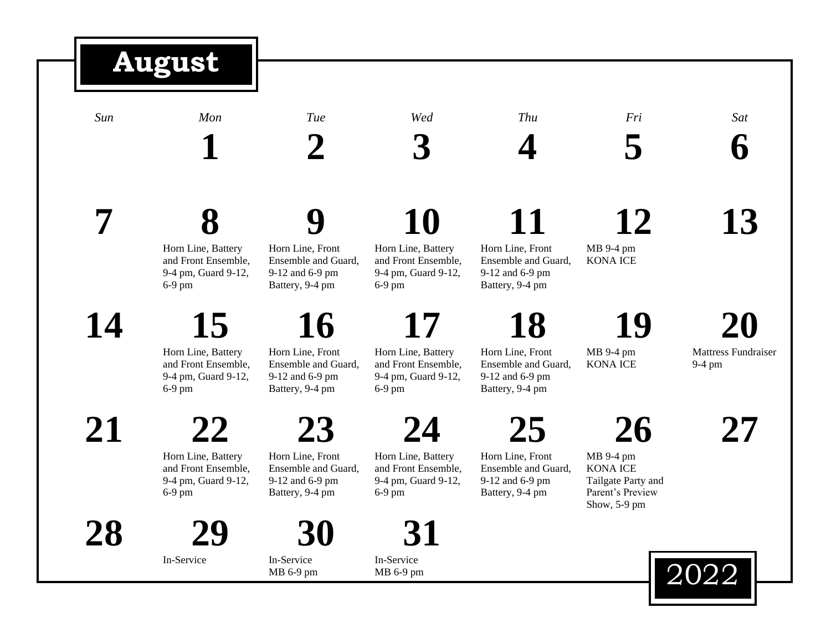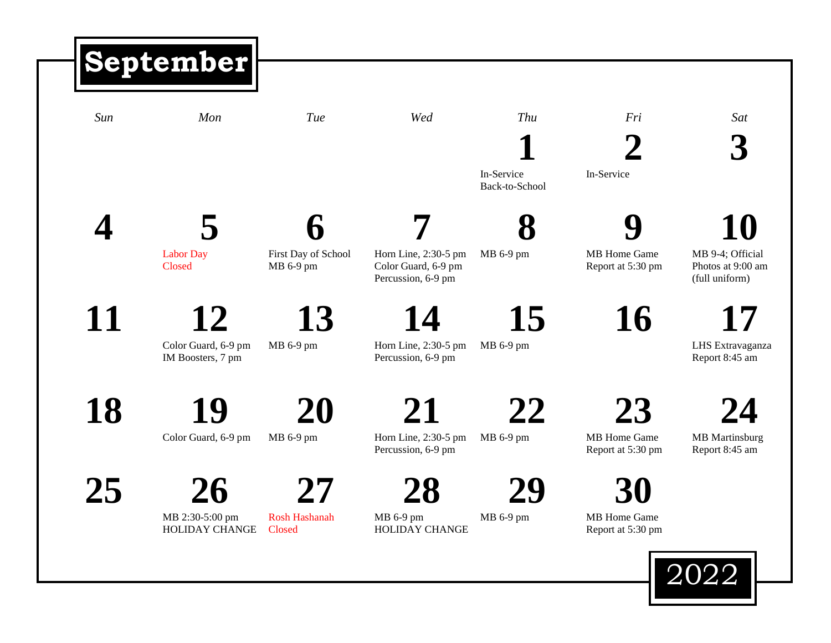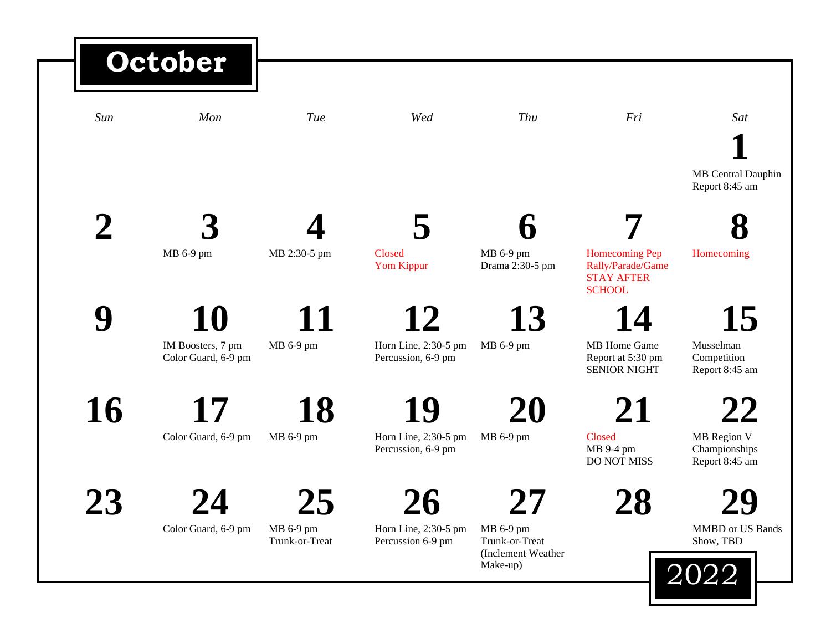## *Sun Mon Tue Wed Thu Fri Sat* **1** MB Central Dauphin Report 8:45 am **2 3** MB 6-9 pm **4** MB 2:30-5 pm **5** Closed Yom Kippur **6** MB 6-9 pm Drama 2:30-5 pm **7** Homecoming Pep Rally/Parade/Game STAY AFTER **SCHOOL 8** Homecoming **9 10** IM Boosters, 7 pm Color Guard, 6-9 pm **11** MB 6-9 pm **12** Horn Line, 2:30-5 pm Percussion, 6-9 pm **13** MB 6-9 pm **14** MB Home Game Report at 5:30 pm SENIOR NIGHT **15** Musselman Competition Report 8:45 am 16 Color Guard, 6-9 pm **18** MB 6-9 pm **19** Horn Line, 2:30-5 pm Percussion, 6-9 pm **20** MB 6-9 pm **21** Closed MB 9-4 pm DO NOT MISS **22** MB Region V Championships Report 8:45 am **23 24** Color Guard, 6-9 pm **25** MB 6-9 pm Trunk-or-Treat **26** Horn Line, 2:30-5 pm Percussion 6-9 pm **27** MB 6-9 pm Trunk-or-Treat (Inclement Weather Make-up) **28 29** MMBD or US Bands Show, TBD 2022 **October**